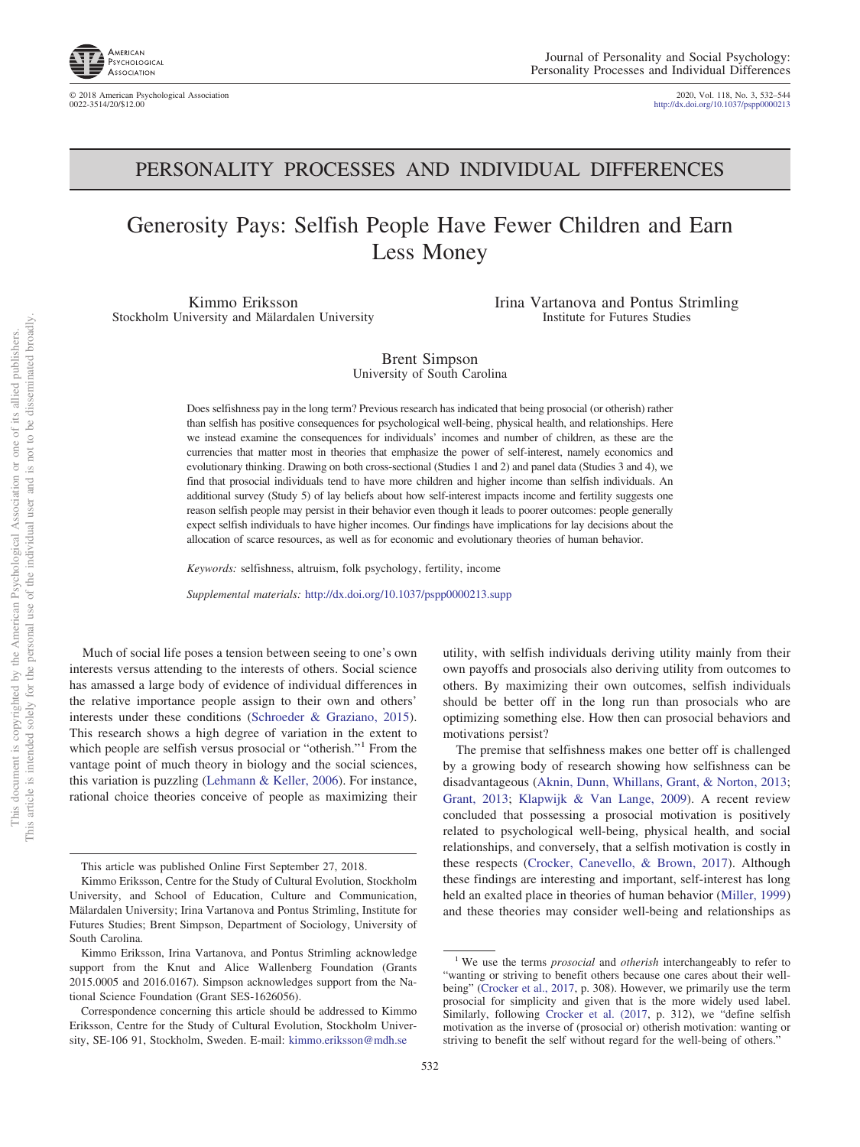

© 2018 American Psychological Association 2020, Vol. 118, No. 3, 532–544 http://dx.doi.org[/10.1037/pspp0000213](http://dx.doi.org/10.1037/pspp0000213)

## PERSONALITY PROCESSES AND INDIVIDUAL DIFFERENCES

# Generosity Pays: Selfish People Have Fewer Children and Earn Less Money

Kimmo Eriksson Stockholm University and Mälardalen University Irina Vartanova and Pontus Strimling Institute for Futures Studies

Brent Simpson University of South Carolina

Does selfishness pay in the long term? Previous research has indicated that being prosocial (or otherish) rather than selfish has positive consequences for psychological well-being, physical health, and relationships. Here we instead examine the consequences for individuals' incomes and number of children, as these are the currencies that matter most in theories that emphasize the power of self-interest, namely economics and evolutionary thinking. Drawing on both cross-sectional (Studies 1 and 2) and panel data (Studies 3 and 4), we find that prosocial individuals tend to have more children and higher income than selfish individuals. An additional survey (Study 5) of lay beliefs about how self-interest impacts income and fertility suggests one reason selfish people may persist in their behavior even though it leads to poorer outcomes: people generally expect selfish individuals to have higher incomes. Our findings have implications for lay decisions about the allocation of scarce resources, as well as for economic and evolutionary theories of human behavior.

*Keywords:* selfishness, altruism, folk psychology, fertility, income

*Supplemental materials:* http://dx.doi.org/10.1037/pspp0000213.supp

Much of social life poses a tension between seeing to one's own interests versus attending to the interests of others. Social science has amassed a large body of evidence of individual differences in the relative importance people assign to their own and others' interests under these conditions [\(Schroeder & Graziano, 2015\)](#page-11-0). This research shows a high degree of variation in the extent to which people are selfish versus prosocial or "otherish."<sup>1</sup> From the vantage point of much theory in biology and the social sciences, this variation is puzzling [\(Lehmann & Keller, 2006\)](#page-11-1). For instance, rational choice theories conceive of people as maximizing their

This article is intended solely for the personal use of the individual user and is not to be disseminated broadly. This document is copyrighted by the American Psychological Association<br>This article is intended solely for the personal use of the individual user and i

This document is copyrighted by the American Psychological Association or one of its allied publishers.

 $\overleftarrow{\mathrm{O}}$  $\widetilde{\Xi}$ 

not to be disseminated broadly one of its allied publishers.

> these findings are interesting and important, self-interest has long held an exalted place in theories of human behavior [\(Miller, 1999\)](#page-11-4) and these theories may consider well-being and relationships as

motivations persist?

utility, with selfish individuals deriving utility mainly from their own payoffs and prosocials also deriving utility from outcomes to others. By maximizing their own outcomes, selfish individuals should be better off in the long run than prosocials who are optimizing something else. How then can prosocial behaviors and

The premise that selfishness makes one better off is challenged by a growing body of research showing how selfishness can be disadvantageous [\(Aknin, Dunn, Whillans, Grant, & Norton, 2013;](#page-10-0) [Grant, 2013;](#page-11-2) [Klapwijk & Van Lange, 2009\)](#page-11-3). A recent review concluded that possessing a prosocial motivation is positively related to psychological well-being, physical health, and social relationships, and conversely, that a selfish motivation is costly in these respects [\(Crocker, Canevello, & Brown, 2017\)](#page-10-1). Although

This article was published Online First September 27, 2018.

Kimmo Eriksson, Centre for the Study of Cultural Evolution, Stockholm University, and School of Education, Culture and Communication, Mälardalen University; Irina Vartanova and Pontus Strimling, Institute for Futures Studies; Brent Simpson, Department of Sociology, University of South Carolina.

Kimmo Eriksson, Irina Vartanova, and Pontus Strimling acknowledge support from the Knut and Alice Wallenberg Foundation (Grants 2015.0005 and 2016.0167). Simpson acknowledges support from the National Science Foundation (Grant SES-1626056).

Correspondence concerning this article should be addressed to Kimmo Eriksson, Centre for the Study of Cultural Evolution, Stockholm University, SE-106 91, Stockholm, Sweden. E-mail: [kimmo.eriksson@mdh.se](mailto:kimmo.eriksson@mdh.se)

<sup>1</sup> We use the terms *prosocial* and *otherish* interchangeably to refer to "wanting or striving to benefit others because one cares about their wellbeing" [\(Crocker et al., 2017,](#page-10-1) p. 308). However, we primarily use the term prosocial for simplicity and given that is the more widely used label. Similarly, following [Crocker et al. \(2017,](#page-10-1) p. 312), we "define selfish motivation as the inverse of (prosocial or) otherish motivation: wanting or striving to benefit the self without regard for the well-being of others."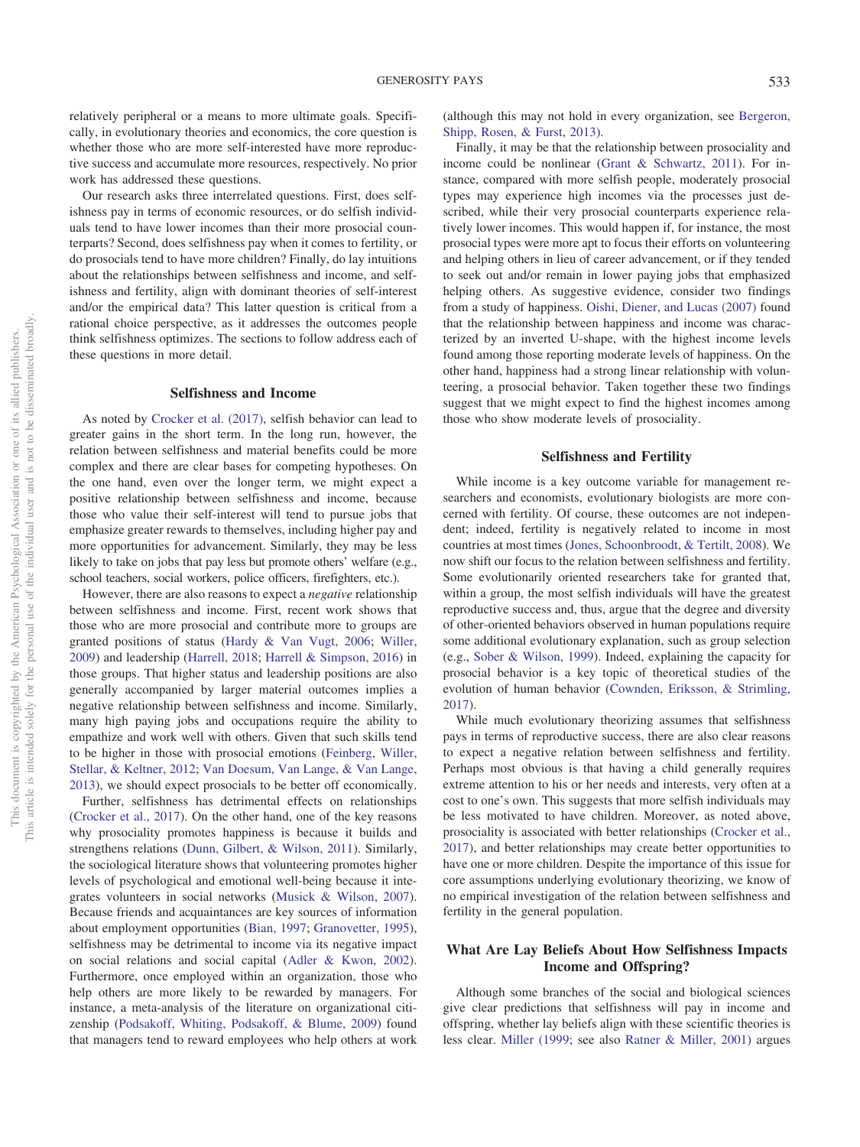relatively peripheral or a means to more ultimate goals. Specifically, in evolutionary theories and economics, the core question is whether those who are more self-interested have more reproductive success and accumulate more resources, respectively. No prior work has addressed these questions.

Our research asks three interrelated questions. First, does selfishness pay in terms of economic resources, or do selfish individuals tend to have lower incomes than their more prosocial counterparts? Second, does selfishness pay when it comes to fertility, or do prosocials tend to have more children? Finally, do lay intuitions about the relationships between selfishness and income, and selfishness and fertility, align with dominant theories of self-interest and/or the empirical data? This latter question is critical from a rational choice perspective, as it addresses the outcomes people think selfishness optimizes. The sections to follow address each of these questions in more detail.

## **Selfishness and Income**

As noted by [Crocker et al. \(2017\),](#page-10-1) selfish behavior can lead to greater gains in the short term. In the long run, however, the relation between selfishness and material benefits could be more complex and there are clear bases for competing hypotheses. On the one hand, even over the longer term, we might expect a positive relationship between selfishness and income, because those who value their self-interest will tend to pursue jobs that emphasize greater rewards to themselves, including higher pay and more opportunities for advancement. Similarly, they may be less likely to take on jobs that pay less but promote others' welfare (e.g., school teachers, social workers, police officers, firefighters, etc.).

However, there are also reasons to expect a *negative* relationship between selfishness and income. First, recent work shows that those who are more prosocial and contribute more to groups are granted positions of status [\(Hardy & Van Vugt, 2006;](#page-11-5) [Willer,](#page-12-0) [2009\)](#page-12-0) and leadership [\(Harrell, 2018;](#page-11-6) [Harrell & Simpson, 2016\)](#page-11-7) in those groups. That higher status and leadership positions are also generally accompanied by larger material outcomes implies a negative relationship between selfishness and income. Similarly, many high paying jobs and occupations require the ability to empathize and work well with others. Given that such skills tend to be higher in those with prosocial emotions [\(Feinberg, Willer,](#page-10-2) [Stellar, & Keltner, 2012;](#page-10-2) [Van Doesum, Van Lange, & Van Lange,](#page-12-1) [2013\)](#page-12-1), we should expect prosocials to be better off economically.

Further, selfishness has detrimental effects on relationships [\(Crocker et al., 2017\)](#page-10-1). On the other hand, one of the key reasons why prosociality promotes happiness is because it builds and strengthens relations [\(Dunn, Gilbert, & Wilson, 2011\)](#page-10-3). Similarly, the sociological literature shows that volunteering promotes higher levels of psychological and emotional well-being because it integrates volunteers in social networks [\(Musick & Wilson, 2007\)](#page-11-8). Because friends and acquaintances are key sources of information about employment opportunities [\(Bian, 1997;](#page-10-4) [Granovetter, 1995\)](#page-11-9), selfishness may be detrimental to income via its negative impact on social relations and social capital [\(Adler & Kwon, 2002\)](#page-10-5). Furthermore, once employed within an organization, those who help others are more likely to be rewarded by managers. For instance, a meta-analysis of the literature on organizational citizenship [\(Podsakoff, Whiting, Podsakoff, & Blume, 2009\)](#page-11-10) found that managers tend to reward employees who help others at work

(although this may not hold in every organization, see [Bergeron,](#page-10-6) [Shipp, Rosen, & Furst, 2013\)](#page-10-6).

Finally, it may be that the relationship between prosociality and income could be nonlinear [\(Grant & Schwartz, 2011\)](#page-11-11). For instance, compared with more selfish people, moderately prosocial types may experience high incomes via the processes just described, while their very prosocial counterparts experience relatively lower incomes. This would happen if, for instance, the most prosocial types were more apt to focus their efforts on volunteering and helping others in lieu of career advancement, or if they tended to seek out and/or remain in lower paying jobs that emphasized helping others. As suggestive evidence, consider two findings from a study of happiness. [Oishi, Diener, and Lucas \(2007\)](#page-11-12) found that the relationship between happiness and income was characterized by an inverted U-shape, with the highest income levels found among those reporting moderate levels of happiness. On the other hand, happiness had a strong linear relationship with volunteering, a prosocial behavior. Taken together these two findings suggest that we might expect to find the highest incomes among those who show moderate levels of prosociality.

#### **Selfishness and Fertility**

While income is a key outcome variable for management researchers and economists, evolutionary biologists are more concerned with fertility. Of course, these outcomes are not independent; indeed, fertility is negatively related to income in most countries at most times [\(Jones, Schoonbroodt, & Tertilt, 2008\)](#page-11-13). We now shift our focus to the relation between selfishness and fertility. Some evolutionarily oriented researchers take for granted that, within a group, the most selfish individuals will have the greatest reproductive success and, thus, argue that the degree and diversity of other-oriented behaviors observed in human populations require some additional evolutionary explanation, such as group selection (e.g., [Sober & Wilson, 1999\)](#page-11-14). Indeed, explaining the capacity for prosocial behavior is a key topic of theoretical studies of the evolution of human behavior [\(Cownden, Eriksson, & Strimling,](#page-10-7) [2017\)](#page-10-7).

While much evolutionary theorizing assumes that selfishness pays in terms of reproductive success, there are also clear reasons to expect a negative relation between selfishness and fertility. Perhaps most obvious is that having a child generally requires extreme attention to his or her needs and interests, very often at a cost to one's own. This suggests that more selfish individuals may be less motivated to have children. Moreover, as noted above, prosociality is associated with better relationships [\(Crocker et al.,](#page-10-1) [2017\)](#page-10-1), and better relationships may create better opportunities to have one or more children. Despite the importance of this issue for core assumptions underlying evolutionary theorizing, we know of no empirical investigation of the relation between selfishness and fertility in the general population.

## **What Are Lay Beliefs About How Selfishness Impacts Income and Offspring?**

Although some branches of the social and biological sciences give clear predictions that selfishness will pay in income and offspring, whether lay beliefs align with these scientific theories is less clear. [Miller \(1999;](#page-11-4) see also [Ratner & Miller, 2001\)](#page-11-15) argues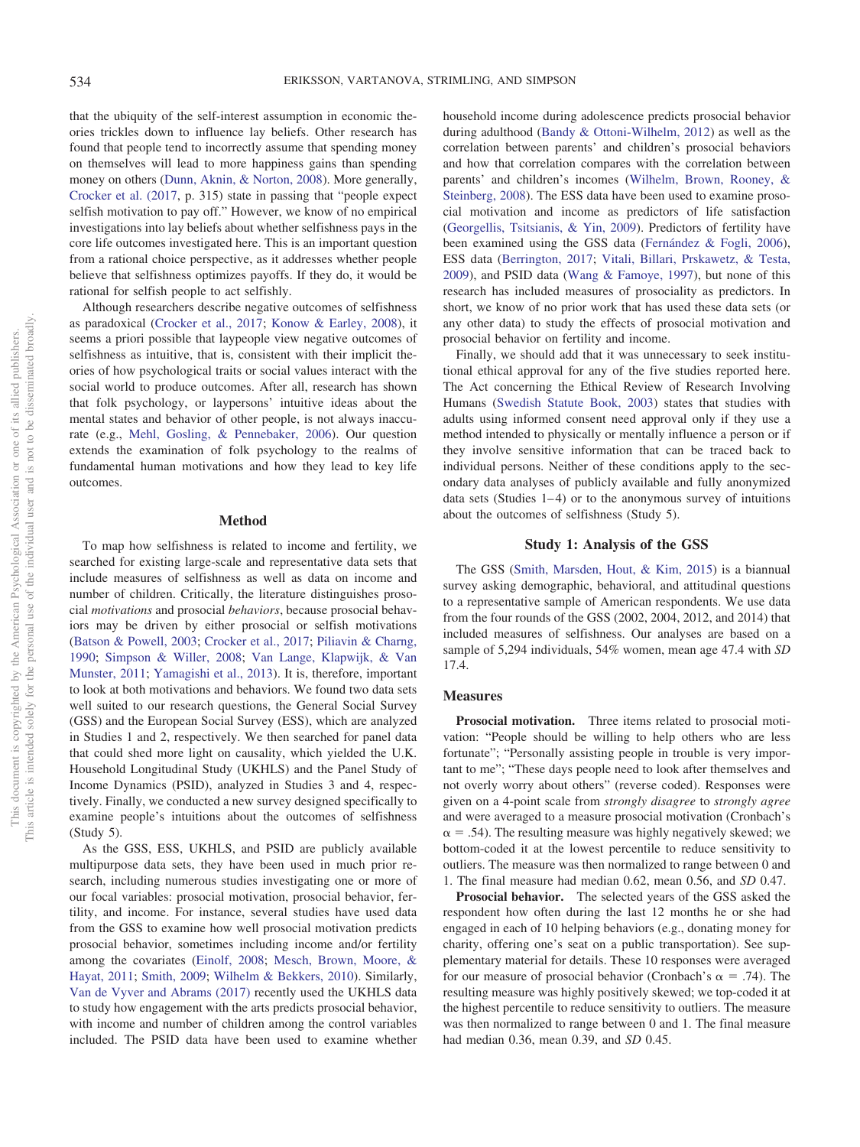that the ubiquity of the self-interest assumption in economic theories trickles down to influence lay beliefs. Other research has found that people tend to incorrectly assume that spending money on themselves will lead to more happiness gains than spending money on others [\(Dunn, Aknin, & Norton, 2008\)](#page-10-8). More generally, [Crocker et al. \(2017,](#page-10-1) p. 315) state in passing that "people expect selfish motivation to pay off." However, we know of no empirical investigations into lay beliefs about whether selfishness pays in the core life outcomes investigated here. This is an important question from a rational choice perspective, as it addresses whether people believe that selfishness optimizes payoffs. If they do, it would be rational for selfish people to act selfishly.

Although researchers describe negative outcomes of selfishness as paradoxical [\(Crocker et al., 2017;](#page-10-1) [Konow & Earley, 2008\)](#page-11-16), it seems a priori possible that laypeople view negative outcomes of selfishness as intuitive, that is, consistent with their implicit theories of how psychological traits or social values interact with the social world to produce outcomes. After all, research has shown that folk psychology, or laypersons' intuitive ideas about the mental states and behavior of other people, is not always inaccurate (e.g., [Mehl, Gosling, & Pennebaker, 2006\)](#page-11-17). Our question extends the examination of folk psychology to the realms of fundamental human motivations and how they lead to key life outcomes.

## **Method**

To map how selfishness is related to income and fertility, we searched for existing large-scale and representative data sets that include measures of selfishness as well as data on income and number of children. Critically, the literature distinguishes prosocial *motivations* and prosocial *behaviors*, because prosocial behaviors may be driven by either prosocial or selfish motivations [\(Batson & Powell, 2003;](#page-10-9) [Crocker et al., 2017;](#page-10-1) [Piliavin & Charng,](#page-11-18) [1990;](#page-11-18) [Simpson & Willer, 2008;](#page-11-19) [Van Lange, Klapwijk, & Van](#page-12-2) [Munster, 2011;](#page-12-2) [Yamagishi et al., 2013\)](#page-12-3). It is, therefore, important to look at both motivations and behaviors. We found two data sets well suited to our research questions, the General Social Survey (GSS) and the European Social Survey (ESS), which are analyzed in Studies 1 and 2, respectively. We then searched for panel data that could shed more light on causality, which yielded the U.K. Household Longitudinal Study (UKHLS) and the Panel Study of Income Dynamics (PSID), analyzed in Studies 3 and 4, respectively. Finally, we conducted a new survey designed specifically to examine people's intuitions about the outcomes of selfishness (Study 5).

As the GSS, ESS, UKHLS, and PSID are publicly available multipurpose data sets, they have been used in much prior research, including numerous studies investigating one or more of our focal variables: prosocial motivation, prosocial behavior, fertility, and income. For instance, several studies have used data from the GSS to examine how well prosocial motivation predicts prosocial behavior, sometimes including income and/or fertility among the covariates [\(Einolf, 2008;](#page-10-10) [Mesch, Brown, Moore, &](#page-11-20) [Hayat, 2011;](#page-11-20) [Smith, 2009;](#page-11-21) [Wilhelm & Bekkers, 2010\)](#page-12-4). Similarly, [Van de Vyver and Abrams \(2017\)](#page-12-5) recently used the UKHLS data to study how engagement with the arts predicts prosocial behavior, with income and number of children among the control variables included. The PSID data have been used to examine whether

household income during adolescence predicts prosocial behavior during adulthood [\(Bandy & Ottoni-Wilhelm, 2012\)](#page-10-11) as well as the correlation between parents' and children's prosocial behaviors and how that correlation compares with the correlation between parents' and children's incomes [\(Wilhelm, Brown, Rooney, &](#page-12-6) [Steinberg, 2008\)](#page-12-6). The ESS data have been used to examine prosocial motivation and income as predictors of life satisfaction [\(Georgellis, Tsitsianis, & Yin, 2009\)](#page-11-22). Predictors of fertility have been examined using the GSS data [\(Fernández & Fogli, 2006\)](#page-10-12), ESS data [\(Berrington, 2017;](#page-10-13) [Vitali, Billari, Prskawetz, & Testa,](#page-12-7) [2009\)](#page-12-7), and PSID data [\(Wang & Famoye, 1997\)](#page-12-8), but none of this research has included measures of prosociality as predictors. In short, we know of no prior work that has used these data sets (or any other data) to study the effects of prosocial motivation and prosocial behavior on fertility and income.

Finally, we should add that it was unnecessary to seek institutional ethical approval for any of the five studies reported here. The Act concerning the Ethical Review of Research Involving Humans [\(Swedish Statute Book, 2003\)](#page-11-23) states that studies with adults using informed consent need approval only if they use a method intended to physically or mentally influence a person or if they involve sensitive information that can be traced back to individual persons. Neither of these conditions apply to the secondary data analyses of publicly available and fully anonymized data sets (Studies  $1-4$ ) or to the anonymous survey of intuitions about the outcomes of selfishness (Study 5).

## **Study 1: Analysis of the GSS**

The GSS [\(Smith, Marsden, Hout, & Kim, 2015\)](#page-11-24) is a biannual survey asking demographic, behavioral, and attitudinal questions to a representative sample of American respondents. We use data from the four rounds of the GSS (2002, 2004, 2012, and 2014) that included measures of selfishness. Our analyses are based on a sample of 5,294 individuals, 54% women, mean age 47.4 with *SD* 17.4.

#### **Measures**

**Prosocial motivation.** Three items related to prosocial motivation: "People should be willing to help others who are less fortunate"; "Personally assisting people in trouble is very important to me"; "These days people need to look after themselves and not overly worry about others" (reverse coded). Responses were given on a 4-point scale from *strongly disagree* to *strongly agree* and were averaged to a measure prosocial motivation (Cronbach's  $\alpha = .54$ ). The resulting measure was highly negatively skewed; we bottom-coded it at the lowest percentile to reduce sensitivity to outliers. The measure was then normalized to range between 0 and 1. The final measure had median 0.62, mean 0.56, and *SD* 0.47.

**Prosocial behavior.** The selected years of the GSS asked the respondent how often during the last 12 months he or she had engaged in each of 10 helping behaviors (e.g., donating money for charity, offering one's seat on a public transportation). See supplementary material for details. These 10 responses were averaged for our measure of prosocial behavior (Cronbach's  $\alpha = .74$ ). The resulting measure was highly positively skewed; we top-coded it at the highest percentile to reduce sensitivity to outliers. The measure was then normalized to range between 0 and 1. The final measure had median 0.36, mean 0.39, and *SD* 0.45.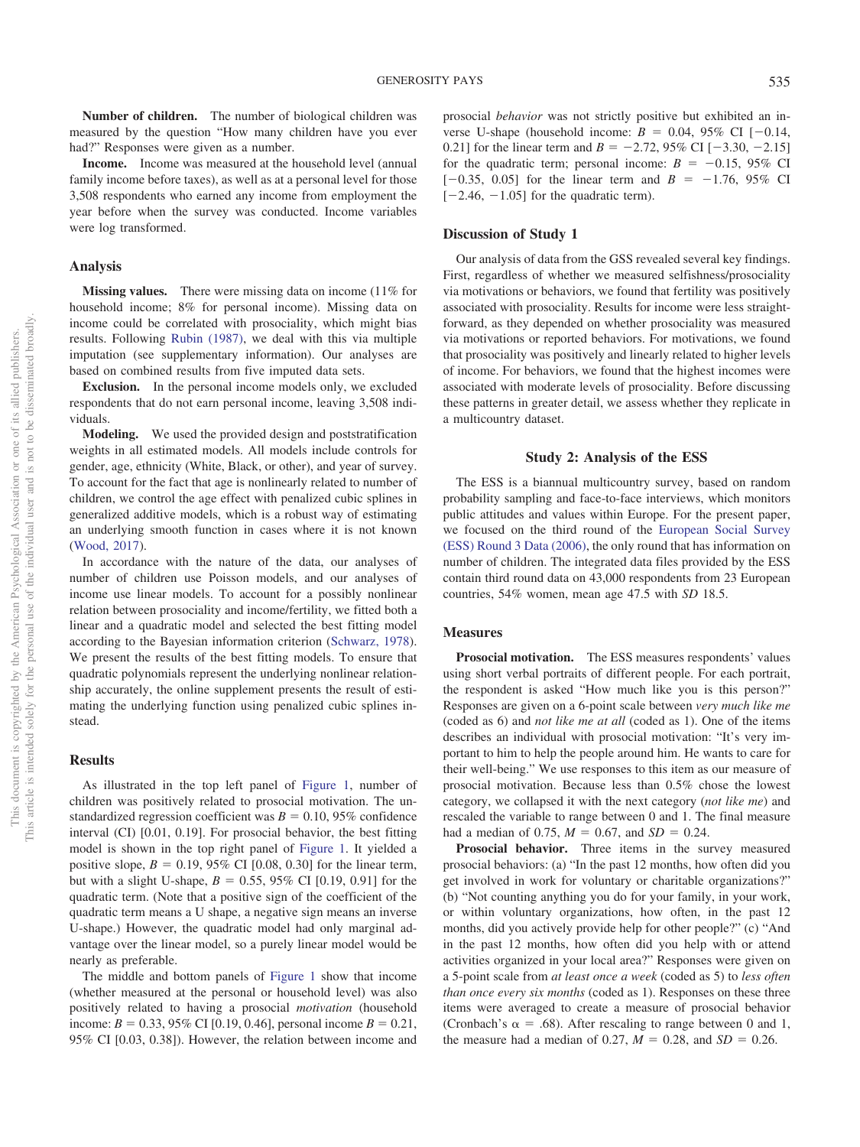**Number of children.** The number of biological children was measured by the question "How many children have you ever had?" Responses were given as a number.

**Income.** Income was measured at the household level (annual family income before taxes), as well as at a personal level for those 3,508 respondents who earned any income from employment the year before when the survey was conducted. Income variables were log transformed.

#### **Analysis**

**Missing values.** There were missing data on income (11% for household income; 8% for personal income). Missing data on income could be correlated with prosociality, which might bias results. Following [Rubin \(1987\),](#page-11-25) we deal with this via multiple imputation (see supplementary information). Our analyses are based on combined results from five imputed data sets.

**Exclusion.** In the personal income models only, we excluded respondents that do not earn personal income, leaving 3,508 individuals.

**Modeling.** We used the provided design and poststratification weights in all estimated models. All models include controls for gender, age, ethnicity (White, Black, or other), and year of survey. To account for the fact that age is nonlinearly related to number of children, we control the age effect with penalized cubic splines in generalized additive models, which is a robust way of estimating an underlying smooth function in cases where it is not known [\(Wood, 2017\)](#page-12-9).

In accordance with the nature of the data, our analyses of number of children use Poisson models, and our analyses of income use linear models. To account for a possibly nonlinear relation between prosociality and income/fertility, we fitted both a linear and a quadratic model and selected the best fitting model according to the Bayesian information criterion [\(Schwarz, 1978\)](#page-11-26). We present the results of the best fitting models. To ensure that quadratic polynomials represent the underlying nonlinear relationship accurately, the online supplement presents the result of estimating the underlying function using penalized cubic splines instead.

#### **Results**

As illustrated in the top left panel of [Figure 1,](#page-4-0) number of children was positively related to prosocial motivation. The unstandardized regression coefficient was  $B = 0.10, 95\%$  confidence interval (CI) [0.01, 0.19]. For prosocial behavior, the best fitting model is shown in the top right panel of [Figure 1.](#page-4-0) It yielded a positive slope,  $B = 0.19$ , 95% CI [0.08, 0.30] for the linear term, but with a slight U-shape,  $B = 0.55$ , 95% CI [0.19, 0.91] for the quadratic term. (Note that a positive sign of the coefficient of the quadratic term means a U shape, a negative sign means an inverse U-shape.) However, the quadratic model had only marginal advantage over the linear model, so a purely linear model would be nearly as preferable.

The middle and bottom panels of [Figure 1](#page-4-0) show that income (whether measured at the personal or household level) was also positively related to having a prosocial *motivation* (household income:  $B = 0.33, 95\%$  CI [0.19, 0.46], personal income  $B = 0.21$ , 95% CI [0.03, 0.38]). However, the relation between income and prosocial *behavior* was not strictly positive but exhibited an inverse U-shape (household income:  $B = 0.04, 95\% \text{ CI } [-0.14,$ 0.21] for the linear term and  $B = -2.72$ , 95% CI  $[-3.30, -2.15]$ for the quadratic term; personal income:  $B = -0.15$ , 95% CI  $[-0.35, 0.05]$  for the linear term and  $B = -1.76, 95\%$  CI  $[-2.46, -1.05]$  for the quadratic term).

## **Discussion of Study 1**

Our analysis of data from the GSS revealed several key findings. First, regardless of whether we measured selfishness/prosociality via motivations or behaviors, we found that fertility was positively associated with prosociality. Results for income were less straightforward, as they depended on whether prosociality was measured via motivations or reported behaviors. For motivations, we found that prosociality was positively and linearly related to higher levels of income. For behaviors, we found that the highest incomes were associated with moderate levels of prosociality. Before discussing these patterns in greater detail, we assess whether they replicate in a multicountry dataset.

#### **Study 2: Analysis of the ESS**

The ESS is a biannual multicountry survey, based on random probability sampling and face-to-face interviews, which monitors public attitudes and values within Europe. For the present paper, we focused on the third round of the [European Social Survey](#page-10-14) [\(ESS\) Round 3 Data \(2006\),](#page-10-14) the only round that has information on number of children. The integrated data files provided by the ESS contain third round data on 43,000 respondents from 23 European countries, 54% women, mean age 47.5 with *SD* 18.5.

## **Measures**

**Prosocial motivation.** The ESS measures respondents' values using short verbal portraits of different people. For each portrait, the respondent is asked "How much like you is this person?" Responses are given on a 6-point scale between *very much like me* (coded as 6) and *not like me at all* (coded as 1). One of the items describes an individual with prosocial motivation: "It's very important to him to help the people around him. He wants to care for their well-being." We use responses to this item as our measure of prosocial motivation. Because less than 0.5% chose the lowest category, we collapsed it with the next category (*not like me*) and rescaled the variable to range between 0 and 1. The final measure had a median of 0.75,  $M = 0.67$ , and  $SD = 0.24$ .

**Prosocial behavior.** Three items in the survey measured prosocial behaviors: (a) "In the past 12 months, how often did you get involved in work for voluntary or charitable organizations?" (b) "Not counting anything you do for your family, in your work, or within voluntary organizations, how often, in the past 12 months, did you actively provide help for other people?" (c) "And in the past 12 months, how often did you help with or attend activities organized in your local area?" Responses were given on a 5-point scale from *at least once a week* (coded as 5) to *less often than once every six months* (coded as 1). Responses on these three items were averaged to create a measure of prosocial behavior (Cronbach's  $\alpha = .68$ ). After rescaling to range between 0 and 1, the measure had a median of 0.27,  $M = 0.28$ , and  $SD = 0.26$ .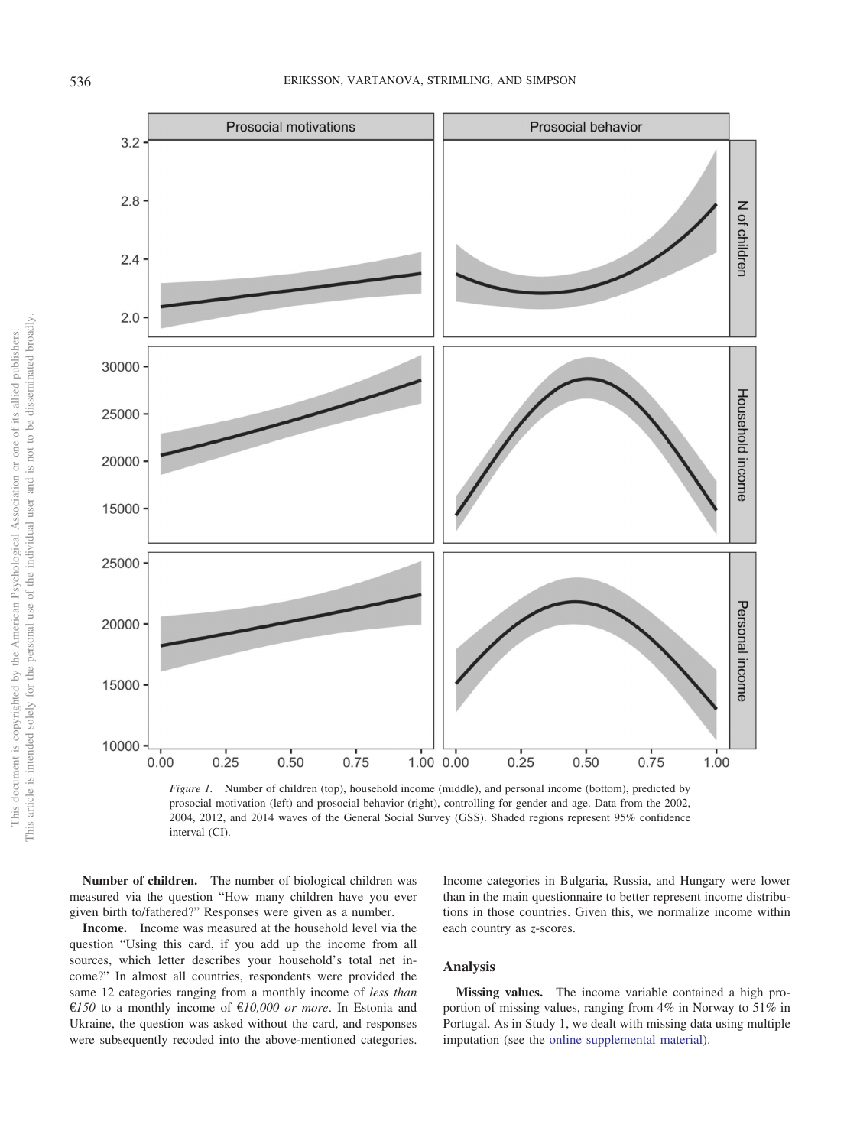

<span id="page-4-0"></span>

**Number of children.** The number of biological children was measured via the question "How many children have you ever given birth to/fathered?" Responses were given as a number.

**Income.** Income was measured at the household level via the question "Using this card, if you add up the income from all sources, which letter describes your household's total net income?" In almost all countries, respondents were provided the same 12 categories ranging from a monthly income of *less than* €*150* to a monthly income of €*10,000 or more*. In Estonia and Ukraine, the question was asked without the card, and responses were subsequently recoded into the above-mentioned categories.

Income categories in Bulgaria, Russia, and Hungary were lower than in the main questionnaire to better represent income distributions in those countries. Given this, we normalize income within each country as *z*-scores.

## **Analysis**

**Missing values.** The income variable contained a high proportion of missing values, ranging from 4% in Norway to 51% in Portugal. As in Study 1, we dealt with missing data using multiple imputation (see the [online supplemental material\)](http://dx.doi.org/10.1037/pspp0000213.supp).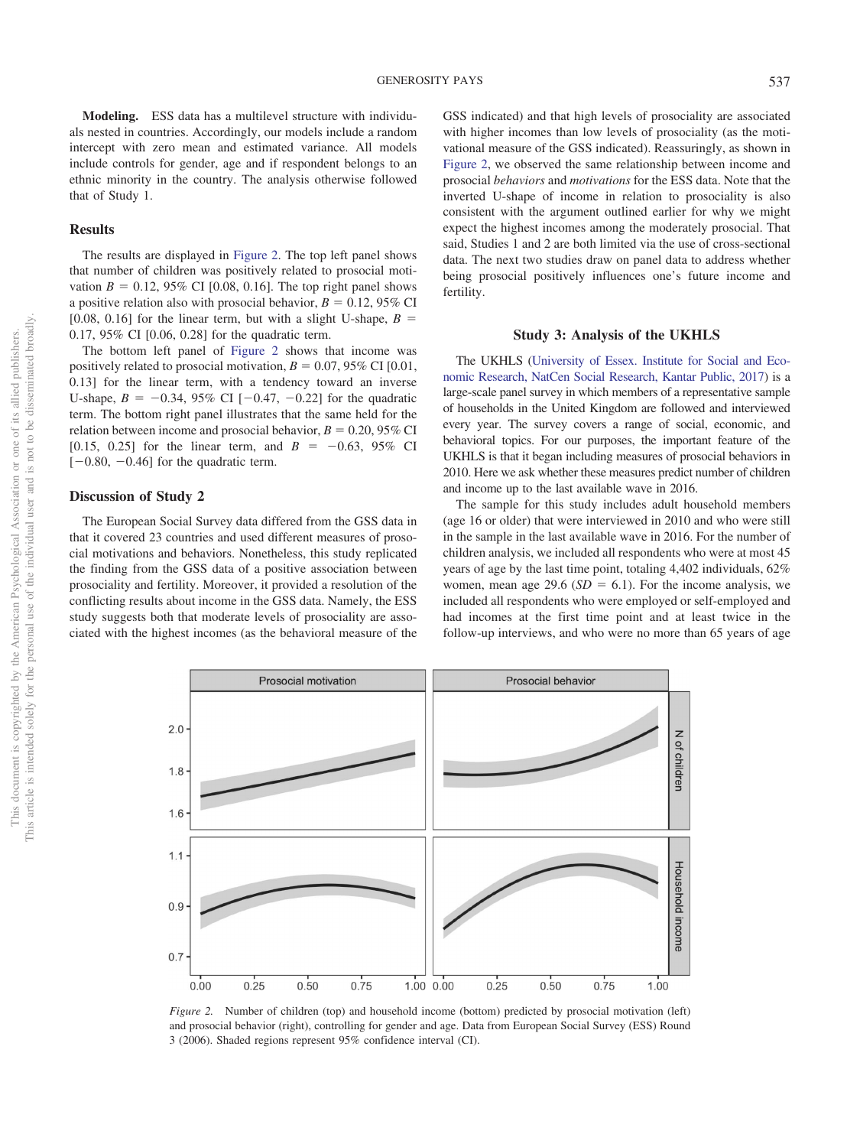**Modeling.** ESS data has a multilevel structure with individuals nested in countries. Accordingly, our models include a random intercept with zero mean and estimated variance. All models include controls for gender, age and if respondent belongs to an ethnic minority in the country. The analysis otherwise followed that of Study 1.

## **Results**

The results are displayed in [Figure 2.](#page-5-0) The top left panel shows that number of children was positively related to prosocial motivation  $B = 0.12, 95\%$  CI [0.08, 0.16]. The top right panel shows a positive relation also with prosocial behavior,  $B = 0.12$ , 95% CI [0.08, 0.16] for the linear term, but with a slight U-shape,  $B =$ 0.17, 95% CI [0.06, 0.28] for the quadratic term.

The bottom left panel of [Figure 2](#page-5-0) shows that income was positively related to prosocial motivation,  $B = 0.07, 95\%$  CI [0.01, 0.13] for the linear term, with a tendency toward an inverse U-shape,  $B = -0.34$ , 95% CI  $[-0.47, -0.22]$  for the quadratic term. The bottom right panel illustrates that the same held for the relation between income and prosocial behavior,  $B = 0.20, 95\%$  CI [0.15, 0.25] for the linear term, and  $B = -0.63$ , 95% CI  $[-0.80, -0.46]$  for the quadratic term.

#### **Discussion of Study 2**

The European Social Survey data differed from the GSS data in that it covered 23 countries and used different measures of prosocial motivations and behaviors. Nonetheless, this study replicated the finding from the GSS data of a positive association between prosociality and fertility. Moreover, it provided a resolution of the conflicting results about income in the GSS data. Namely, the ESS study suggests both that moderate levels of prosociality are associated with the highest incomes (as the behavioral measure of the

GSS indicated) and that high levels of prosociality are associated with higher incomes than low levels of prosociality (as the motivational measure of the GSS indicated). Reassuringly, as shown in [Figure 2,](#page-5-0) we observed the same relationship between income and prosocial *behaviors* and *motivations* for the ESS data. Note that the inverted U-shape of income in relation to prosociality is also consistent with the argument outlined earlier for why we might expect the highest incomes among the moderately prosocial. That said, Studies 1 and 2 are both limited via the use of cross-sectional data. The next two studies draw on panel data to address whether being prosocial positively influences one's future income and fertility.

## **Study 3: Analysis of the UKHLS**

The UKHLS [\(University of Essex. Institute for Social and Eco](#page-11-27)[nomic Research, NatCen Social Research, Kantar Public, 2017\)](#page-11-27) is a large-scale panel survey in which members of a representative sample of households in the United Kingdom are followed and interviewed every year. The survey covers a range of social, economic, and behavioral topics. For our purposes, the important feature of the UKHLS is that it began including measures of prosocial behaviors in 2010. Here we ask whether these measures predict number of children and income up to the last available wave in 2016.

The sample for this study includes adult household members (age 16 or older) that were interviewed in 2010 and who were still in the sample in the last available wave in 2016. For the number of children analysis, we included all respondents who were at most 45 years of age by the last time point, totaling 4,402 individuals, 62% women, mean age 29.6 ( $SD = 6.1$ ). For the income analysis, we included all respondents who were employed or self-employed and had incomes at the first time point and at least twice in the follow-up interviews, and who were no more than 65 years of age



<span id="page-5-0"></span>*Figure 2.* Number of children (top) and household income (bottom) predicted by prosocial motivation (left) and prosocial behavior (right), controlling for gender and age. Data from European Social Survey (ESS) Round 3 (2006). Shaded regions represent 95% confidence interval (CI).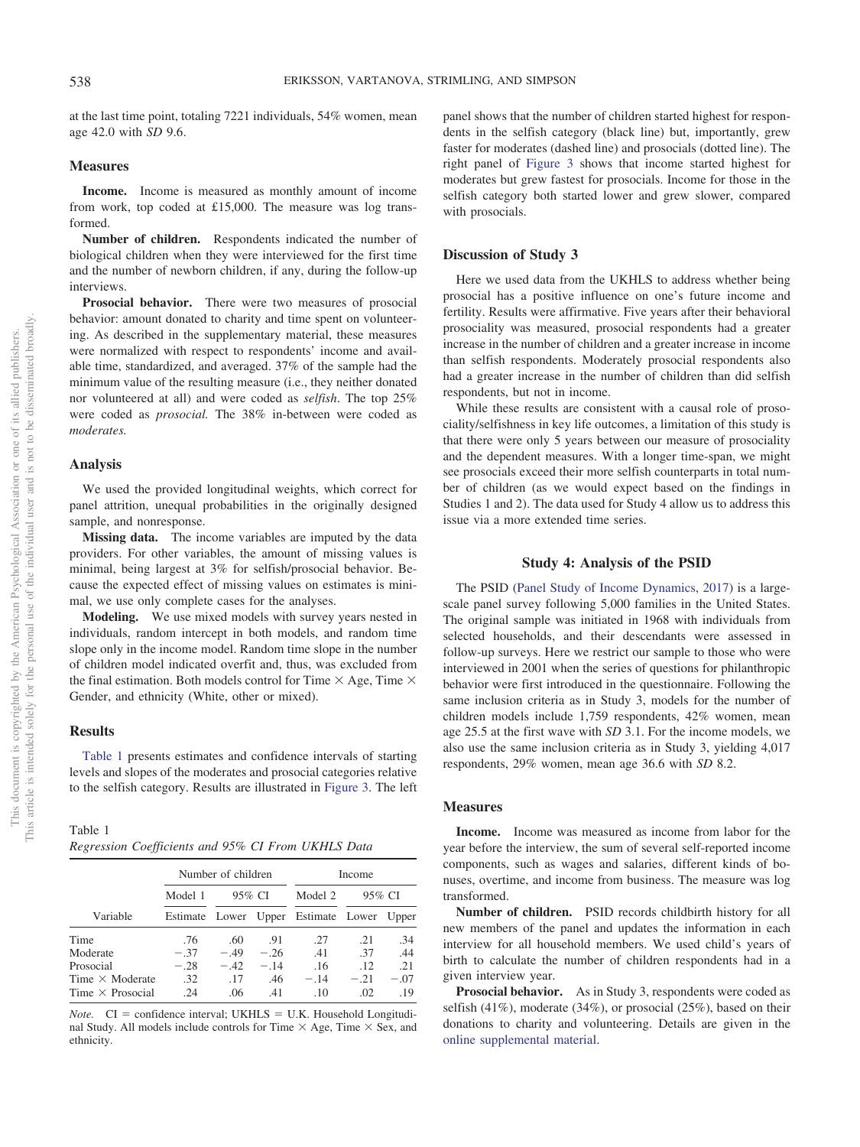at the last time point, totaling 7221 individuals, 54% women, mean age 42.0 with *SD* 9.6.

## **Measures**

**Income.** Income is measured as monthly amount of income from work, top coded at £15,000. The measure was log transformed.

**Number of children.** Respondents indicated the number of biological children when they were interviewed for the first time and the number of newborn children, if any, during the follow-up interviews.

**Prosocial behavior.** There were two measures of prosocial behavior: amount donated to charity and time spent on volunteering. As described in the supplementary material, these measures were normalized with respect to respondents' income and available time, standardized, and averaged. 37% of the sample had the minimum value of the resulting measure (i.e., they neither donated nor volunteered at all) and were coded as *selfish*. The top 25% were coded as *prosocial.* The 38% in-between were coded as *moderates.*

#### **Analysis**

We used the provided longitudinal weights, which correct for panel attrition, unequal probabilities in the originally designed sample, and nonresponse.

**Missing data.** The income variables are imputed by the data providers. For other variables, the amount of missing values is minimal, being largest at 3% for selfish/prosocial behavior. Because the expected effect of missing values on estimates is minimal, we use only complete cases for the analyses.

**Modeling.** We use mixed models with survey years nested in individuals, random intercept in both models, and random time slope only in the income model. Random time slope in the number of children model indicated overfit and, thus, was excluded from the final estimation. Both models control for Time  $\times$  Age, Time  $\times$ Gender, and ethnicity (White, other or mixed).

## **Results**

[Table 1](#page-6-0) presents estimates and confidence intervals of starting levels and slopes of the moderates and prosocial categories relative to the selfish category. Results are illustrated in [Figure 3.](#page-7-0) The left

<span id="page-6-0"></span>Table 1 *Regression Coefficients and 95% CI From UKHLS Data*

|                         | Number of children |        |       | Income                                    |        |        |
|-------------------------|--------------------|--------|-------|-------------------------------------------|--------|--------|
|                         | Model 1            | 95% CI |       | Model 2                                   | 95% CI |        |
| Variable                |                    |        |       | Estimate Lower Upper Estimate Lower Upper |        |        |
| Time                    | .76                | .60    | .91   | .27                                       | .21    | .34    |
| Moderate                | $-.37$             | $-49$  | $-26$ | .41                                       | .37    | .44    |
| Prosocial               | $-.28$             | $-.42$ | $-14$ | .16                                       | .12    | .21    |
| Time $\times$ Moderate  | .32                | .17    | .46   | $-.14$                                    | $-.21$ | $-.07$ |
| Time $\times$ Prosocial | .24                | .06    | .41   | .10                                       | .02    | .19    |

*Note.*  $CI =$  confidence interval; UKHLS = U.K. Household Longitudinal Study. All models include controls for Time  $\times$  Age, Time  $\times$  Sex, and ethnicity.

panel shows that the number of children started highest for respondents in the selfish category (black line) but, importantly, grew faster for moderates (dashed line) and prosocials (dotted line). The right panel of [Figure 3](#page-7-0) shows that income started highest for moderates but grew fastest for prosocials. Income for those in the selfish category both started lower and grew slower, compared with prosocials.

## **Discussion of Study 3**

Here we used data from the UKHLS to address whether being prosocial has a positive influence on one's future income and fertility. Results were affirmative. Five years after their behavioral prosociality was measured, prosocial respondents had a greater increase in the number of children and a greater increase in income than selfish respondents. Moderately prosocial respondents also had a greater increase in the number of children than did selfish respondents, but not in income.

While these results are consistent with a causal role of prosociality/selfishness in key life outcomes, a limitation of this study is that there were only 5 years between our measure of prosociality and the dependent measures. With a longer time-span, we might see prosocials exceed their more selfish counterparts in total number of children (as we would expect based on the findings in Studies 1 and 2). The data used for Study 4 allow us to address this issue via a more extended time series.

## **Study 4: Analysis of the PSID**

The PSID [\(Panel Study of Income Dynamics, 2017\)](#page-11-28) is a largescale panel survey following 5,000 families in the United States. The original sample was initiated in 1968 with individuals from selected households, and their descendants were assessed in follow-up surveys. Here we restrict our sample to those who were interviewed in 2001 when the series of questions for philanthropic behavior were first introduced in the questionnaire. Following the same inclusion criteria as in Study 3, models for the number of children models include 1,759 respondents, 42% women, mean age 25.5 at the first wave with *SD* 3.1. For the income models, we also use the same inclusion criteria as in Study 3, yielding 4,017 respondents, 29% women, mean age 36.6 with *SD* 8.2.

#### **Measures**

**Income.** Income was measured as income from labor for the year before the interview, the sum of several self-reported income components, such as wages and salaries, different kinds of bonuses, overtime, and income from business. The measure was log transformed.

**Number of children.** PSID records childbirth history for all new members of the panel and updates the information in each interview for all household members. We used child's years of birth to calculate the number of children respondents had in a given interview year.

**Prosocial behavior.** As in Study 3, respondents were coded as selfish (41%), moderate (34%), or prosocial (25%), based on their donations to charity and volunteering. Details are given in the [online supplemental material.](http://dx.doi.org/10.1037/pspp0000213.supp)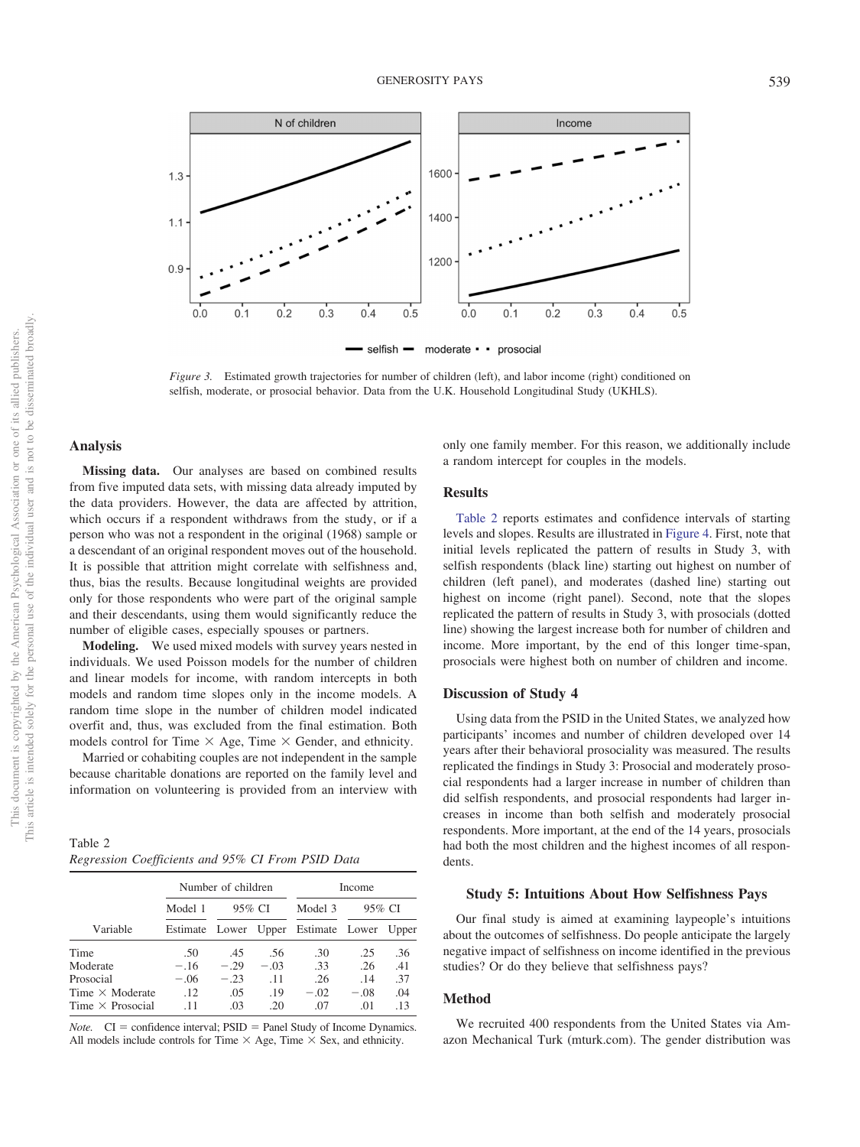

<span id="page-7-0"></span>*Figure 3.* Estimated growth trajectories for number of children (left), and labor income (right) conditioned on selfish, moderate, or prosocial behavior. Data from the U.K. Household Longitudinal Study (UKHLS).

## **Analysis**

**Missing data.** Our analyses are based on combined results from five imputed data sets, with missing data already imputed by the data providers. However, the data are affected by attrition, which occurs if a respondent withdraws from the study, or if a person who was not a respondent in the original (1968) sample or a descendant of an original respondent moves out of the household. It is possible that attrition might correlate with selfishness and, thus, bias the results. Because longitudinal weights are provided only for those respondents who were part of the original sample and their descendants, using them would significantly reduce the number of eligible cases, especially spouses or partners.

**Modeling.** We used mixed models with survey years nested in individuals. We used Poisson models for the number of children and linear models for income, with random intercepts in both models and random time slopes only in the income models. A random time slope in the number of children model indicated overfit and, thus, was excluded from the final estimation. Both models control for Time  $\times$  Age, Time  $\times$  Gender, and ethnicity.

Married or cohabiting couples are not independent in the sample because charitable donations are reported on the family level and information on volunteering is provided from an interview with

<span id="page-7-1"></span>

| Table 2 |                                                   |  |  |
|---------|---------------------------------------------------|--|--|
|         | Regression Coefficients and 95% CI From PSID Data |  |  |

|                         | Number of children |        |        | Income                              |        |       |
|-------------------------|--------------------|--------|--------|-------------------------------------|--------|-------|
|                         | Model 1            | 95% CI |        | Model 3                             | 95% CI |       |
| Variable                |                    |        |        | Estimate Lower Upper Estimate Lower |        | Upper |
| Time                    | .50                | .45    | .56    | .30                                 | .25    | .36   |
| Moderate                | $-.16$             | $-.29$ | $-.03$ | .33                                 | .26    | .41   |
| Prosocial               | $-.06$             | $-.23$ | .11    | .26                                 | .14    | .37   |
| Time $\times$ Moderate  | .12                | .05    | .19    | $-.02$                              | $-.08$ | .04   |
| Time $\times$ Prosocial | .11                | .03    | .20    | .07                                 | .01    | .13   |

*Note.*  $CI =$  confidence interval;  $PSID =$  Panel Study of Income Dynamics. All models include controls for Time  $\times$  Age, Time  $\times$  Sex, and ethnicity.

only one family member. For this reason, we additionally include a random intercept for couples in the models.

## **Results**

[Table 2](#page-7-1) reports estimates and confidence intervals of starting levels and slopes. Results are illustrated in [Figure 4.](#page-8-0) First, note that initial levels replicated the pattern of results in Study 3, with selfish respondents (black line) starting out highest on number of children (left panel), and moderates (dashed line) starting out highest on income (right panel). Second, note that the slopes replicated the pattern of results in Study 3, with prosocials (dotted line) showing the largest increase both for number of children and income. More important, by the end of this longer time-span, prosocials were highest both on number of children and income.

## **Discussion of Study 4**

Using data from the PSID in the United States, we analyzed how participants' incomes and number of children developed over 14 years after their behavioral prosociality was measured. The results replicated the findings in Study 3: Prosocial and moderately prosocial respondents had a larger increase in number of children than did selfish respondents, and prosocial respondents had larger increases in income than both selfish and moderately prosocial respondents. More important, at the end of the 14 years, prosocials had both the most children and the highest incomes of all respondents.

#### **Study 5: Intuitions About How Selfishness Pays**

Our final study is aimed at examining laypeople's intuitions about the outcomes of selfishness. Do people anticipate the largely negative impact of selfishness on income identified in the previous studies? Or do they believe that selfishness pays?

#### **Method**

We recruited 400 respondents from the United States via Amazon Mechanical Turk (mturk.com). The gender distribution was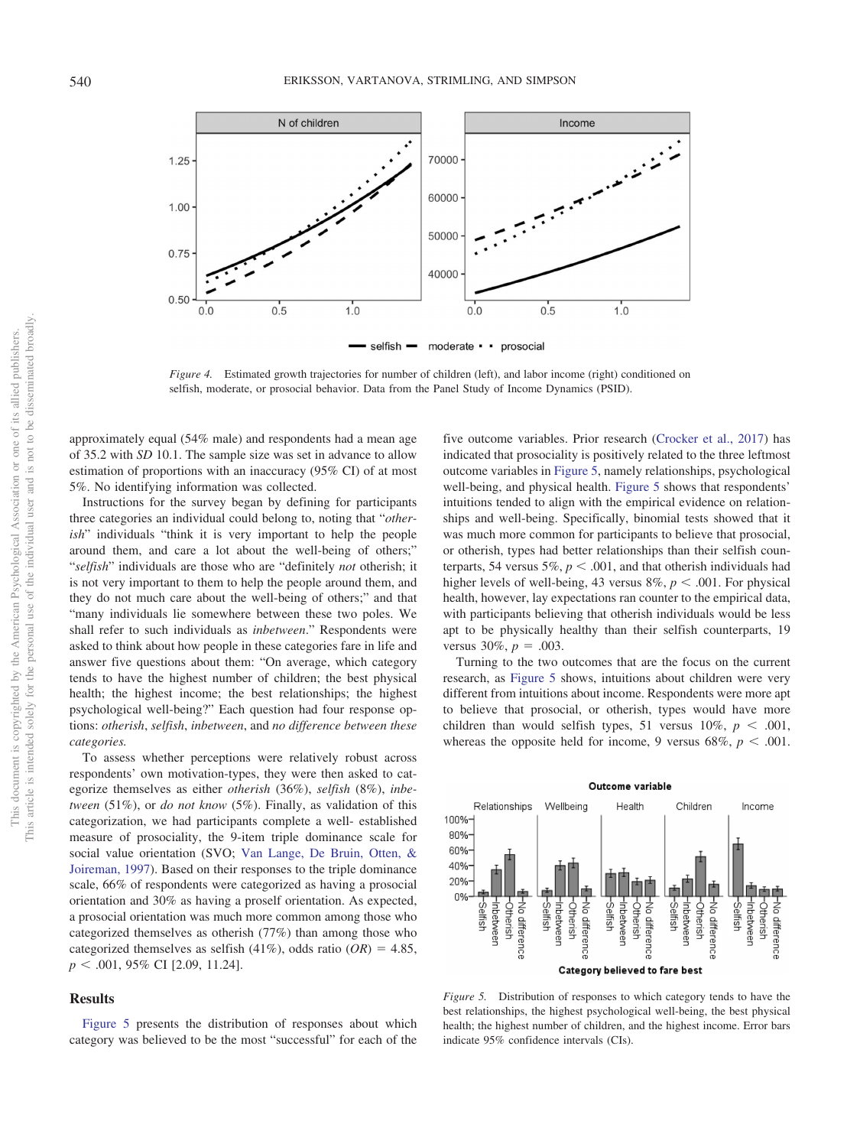

<span id="page-8-0"></span>*Figure 4.* Estimated growth trajectories for number of children (left), and labor income (right) conditioned on selfish, moderate, or prosocial behavior. Data from the Panel Study of Income Dynamics (PSID).

approximately equal (54% male) and respondents had a mean age of 35.2 with *SD* 10.1. The sample size was set in advance to allow estimation of proportions with an inaccuracy (95% CI) of at most 5%. No identifying information was collected.

Instructions for the survey began by defining for participants three categories an individual could belong to, noting that "*otherish*" individuals "think it is very important to help the people around them, and care a lot about the well-being of others;" "*selfish*" individuals are those who are "definitely *not* otherish; it is not very important to them to help the people around them, and they do not much care about the well-being of others;" and that "many individuals lie somewhere between these two poles. We shall refer to such individuals as *inbetween*." Respondents were asked to think about how people in these categories fare in life and answer five questions about them: "On average, which category tends to have the highest number of children; the best physical health; the highest income; the best relationships; the highest psychological well-being?" Each question had four response options: *otherish*, *selfish*, *inbetween*, and *no difference between these categories.*

To assess whether perceptions were relatively robust across respondents' own motivation-types, they were then asked to categorize themselves as either *otherish* (36%), *selfish* (8%), *inbetween* (51%), or *do not know* (5%). Finally, as validation of this categorization, we had participants complete a well- established measure of prosociality, the 9-item triple dominance scale for social value orientation (SVO; [Van Lange, De Bruin, Otten, &](#page-12-10) [Joireman, 1997\)](#page-12-10). Based on their responses to the triple dominance scale, 66% of respondents were categorized as having a prosocial orientation and 30% as having a proself orientation. As expected, a prosocial orientation was much more common among those who categorized themselves as otherish (77%) than among those who categorized themselves as selfish (41%), odds ratio ( $OR$ ) = 4.85, *p* .001, 95% CI [2.09, 11.24].

## **Results**

[Figure 5](#page-8-1) presents the distribution of responses about which category was believed to be the most "successful" for each of the

five outcome variables. Prior research [\(Crocker et al., 2017\)](#page-10-1) has indicated that prosociality is positively related to the three leftmost outcome variables in [Figure 5,](#page-8-1) namely relationships, psychological well-being, and physical health. [Figure 5](#page-8-1) shows that respondents' intuitions tended to align with the empirical evidence on relationships and well-being. Specifically, binomial tests showed that it was much more common for participants to believe that prosocial, or otherish, types had better relationships than their selfish counterparts, 54 versus 5%,  $p < .001$ , and that otherish individuals had higher levels of well-being, 43 versus  $8\%$ ,  $p < .001$ . For physical health, however, lay expectations ran counter to the empirical data, with participants believing that otherish individuals would be less apt to be physically healthy than their selfish counterparts, 19 versus  $30\%, p = .003$ .

Turning to the two outcomes that are the focus on the current research, as [Figure 5](#page-8-1) shows, intuitions about children were very different from intuitions about income. Respondents were more apt to believe that prosocial, or otherish, types would have more children than would selfish types, 51 versus  $10\%$ ,  $p < .001$ , whereas the opposite held for income, 9 versus  $68\%, p < .001$ .



<span id="page-8-1"></span>*Figure 5.* Distribution of responses to which category tends to have the best relationships, the highest psychological well-being, the best physical health; the highest number of children, and the highest income. Error bars indicate 95% confidence intervals (CIs).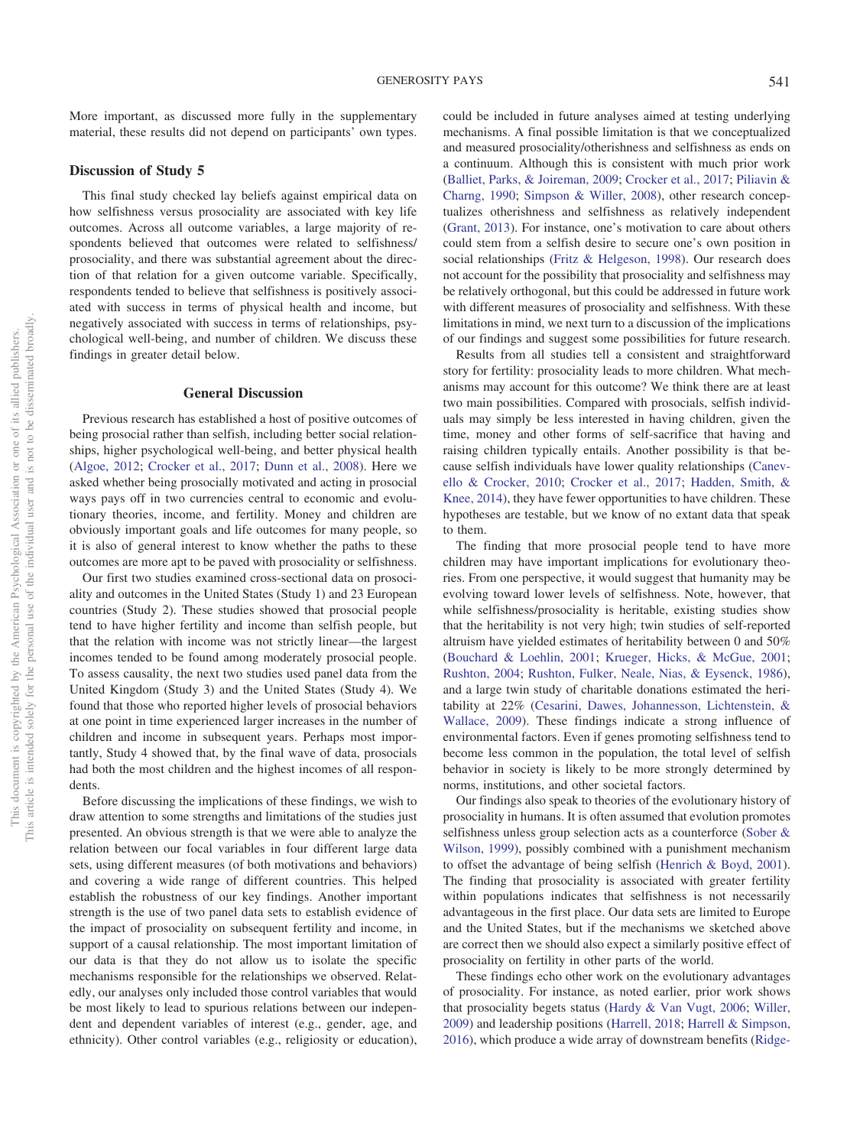More important, as discussed more fully in the supplementary material, these results did not depend on participants' own types.

## **Discussion of Study 5**

This final study checked lay beliefs against empirical data on how selfishness versus prosociality are associated with key life outcomes. Across all outcome variables, a large majority of respondents believed that outcomes were related to selfishness/ prosociality, and there was substantial agreement about the direction of that relation for a given outcome variable. Specifically, respondents tended to believe that selfishness is positively associated with success in terms of physical health and income, but negatively associated with success in terms of relationships, psychological well-being, and number of children. We discuss these findings in greater detail below.

#### **General Discussion**

Previous research has established a host of positive outcomes of being prosocial rather than selfish, including better social relationships, higher psychological well-being, and better physical health [\(Algoe, 2012;](#page-10-15) [Crocker et al., 2017;](#page-10-1) [Dunn et al., 2008\)](#page-10-8). Here we asked whether being prosocially motivated and acting in prosocial ways pays off in two currencies central to economic and evolutionary theories, income, and fertility. Money and children are obviously important goals and life outcomes for many people, so it is also of general interest to know whether the paths to these outcomes are more apt to be paved with prosociality or selfishness.

Our first two studies examined cross-sectional data on prosociality and outcomes in the United States (Study 1) and 23 European countries (Study 2). These studies showed that prosocial people tend to have higher fertility and income than selfish people, but that the relation with income was not strictly linear—the largest incomes tended to be found among moderately prosocial people. To assess causality, the next two studies used panel data from the United Kingdom (Study 3) and the United States (Study 4). We found that those who reported higher levels of prosocial behaviors at one point in time experienced larger increases in the number of children and income in subsequent years. Perhaps most importantly, Study 4 showed that, by the final wave of data, prosocials had both the most children and the highest incomes of all respondents.

Before discussing the implications of these findings, we wish to draw attention to some strengths and limitations of the studies just presented. An obvious strength is that we were able to analyze the relation between our focal variables in four different large data sets, using different measures (of both motivations and behaviors) and covering a wide range of different countries. This helped establish the robustness of our key findings. Another important strength is the use of two panel data sets to establish evidence of the impact of prosociality on subsequent fertility and income, in support of a causal relationship. The most important limitation of our data is that they do not allow us to isolate the specific mechanisms responsible for the relationships we observed. Relatedly, our analyses only included those control variables that would be most likely to lead to spurious relations between our independent and dependent variables of interest (e.g., gender, age, and ethnicity). Other control variables (e.g., religiosity or education),

could be included in future analyses aimed at testing underlying mechanisms. A final possible limitation is that we conceptualized and measured prosociality/otherishness and selfishness as ends on a continuum. Although this is consistent with much prior work [\(Balliet, Parks, & Joireman, 2009;](#page-10-16) [Crocker et al., 2017;](#page-10-1) [Piliavin &](#page-11-18) [Charng, 1990;](#page-11-18) [Simpson & Willer, 2008\)](#page-11-19), other research conceptualizes otherishness and selfishness as relatively independent [\(Grant, 2013\)](#page-11-2). For instance, one's motivation to care about others could stem from a selfish desire to secure one's own position in social relationships [\(Fritz & Helgeson, 1998\)](#page-10-17). Our research does not account for the possibility that prosociality and selfishness may be relatively orthogonal, but this could be addressed in future work with different measures of prosociality and selfishness. With these limitations in mind, we next turn to a discussion of the implications of our findings and suggest some possibilities for future research.

Results from all studies tell a consistent and straightforward story for fertility: prosociality leads to more children. What mechanisms may account for this outcome? We think there are at least two main possibilities. Compared with prosocials, selfish individuals may simply be less interested in having children, given the time, money and other forms of self-sacrifice that having and raising children typically entails. Another possibility is that because selfish individuals have lower quality relationships [\(Canev](#page-10-18)[ello & Crocker, 2010;](#page-10-18) [Crocker et al., 2017;](#page-10-1) [Hadden, Smith, &](#page-11-29) [Knee, 2014\)](#page-11-29), they have fewer opportunities to have children. These hypotheses are testable, but we know of no extant data that speak to them.

The finding that more prosocial people tend to have more children may have important implications for evolutionary theories. From one perspective, it would suggest that humanity may be evolving toward lower levels of selfishness. Note, however, that while selfishness/prosociality is heritable, existing studies show that the heritability is not very high; twin studies of self-reported altruism have yielded estimates of heritability between 0 and 50% [\(Bouchard & Loehlin, 2001;](#page-10-19) [Krueger, Hicks, & McGue, 2001;](#page-11-30) [Rushton, 2004;](#page-11-31) [Rushton, Fulker, Neale, Nias, & Eysenck, 1986\)](#page-11-32), and a large twin study of charitable donations estimated the heritability at 22% [\(Cesarini, Dawes, Johannesson, Lichtenstein, &](#page-10-20) [Wallace, 2009\)](#page-10-20). These findings indicate a strong influence of environmental factors. Even if genes promoting selfishness tend to become less common in the population, the total level of selfish behavior in society is likely to be more strongly determined by norms, institutions, and other societal factors.

Our findings also speak to theories of the evolutionary history of prosociality in humans. It is often assumed that evolution promotes selfishness unless group selection acts as a counterforce [\(Sober &](#page-11-14) [Wilson, 1999\)](#page-11-14), possibly combined with a punishment mechanism to offset the advantage of being selfish [\(Henrich & Boyd, 2001\)](#page-11-33). The finding that prosociality is associated with greater fertility within populations indicates that selfishness is not necessarily advantageous in the first place. Our data sets are limited to Europe and the United States, but if the mechanisms we sketched above are correct then we should also expect a similarly positive effect of prosociality on fertility in other parts of the world.

These findings echo other work on the evolutionary advantages of prosociality. For instance, as noted earlier, prior work shows that prosociality begets status [\(Hardy & Van Vugt, 2006;](#page-11-5) [Willer,](#page-12-0) [2009\)](#page-12-0) and leadership positions [\(Harrell, 2018;](#page-11-6) [Harrell & Simpson,](#page-11-7) [2016\)](#page-11-7), which produce a wide array of downstream benefits [\(Ridge-](#page-11-34)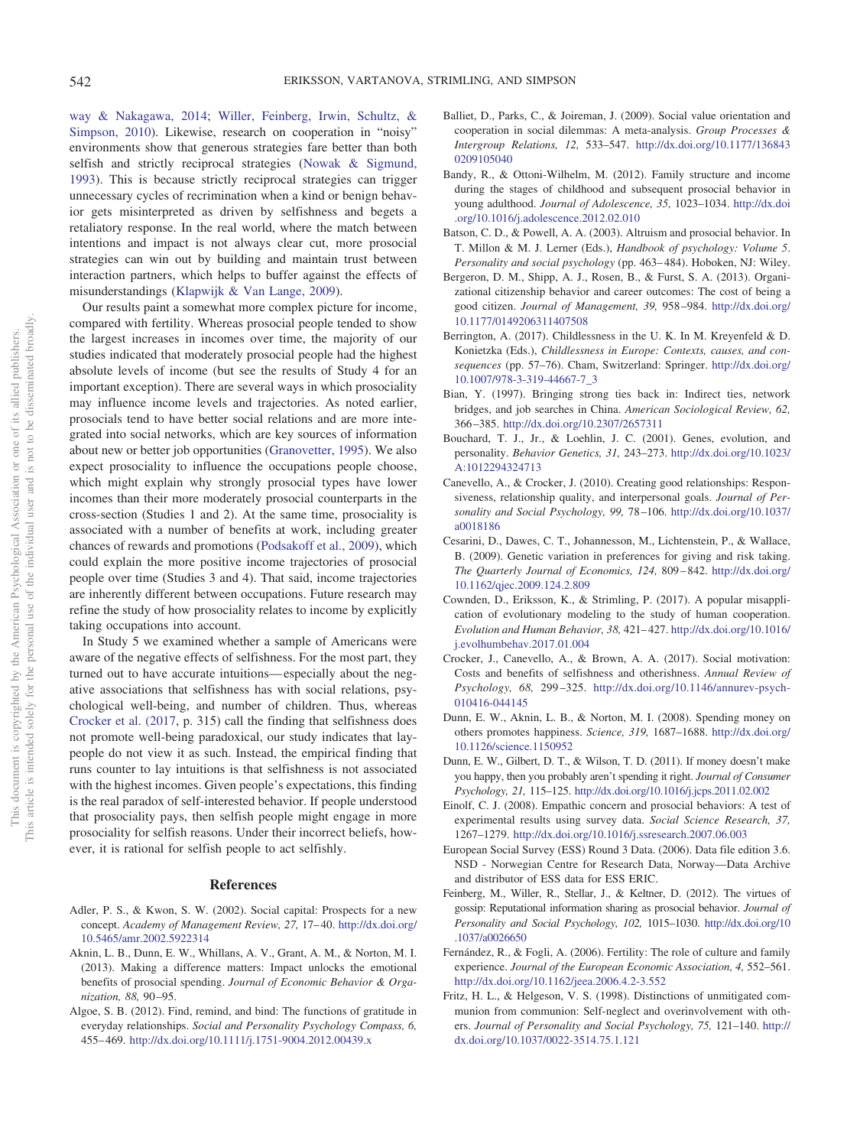[way & Nakagawa, 2014;](#page-11-34) [Willer, Feinberg, Irwin, Schultz, &](#page-12-11) [Simpson, 2010\)](#page-12-11). Likewise, research on cooperation in "noisy" environments show that generous strategies fare better than both selfish and strictly reciprocal strategies [\(Nowak & Sigmund,](#page-11-35) [1993\)](#page-11-35). This is because strictly reciprocal strategies can trigger unnecessary cycles of recrimination when a kind or benign behavior gets misinterpreted as driven by selfishness and begets a retaliatory response. In the real world, where the match between intentions and impact is not always clear cut, more prosocial strategies can win out by building and maintain trust between interaction partners, which helps to buffer against the effects of misunderstandings [\(Klapwijk & Van Lange, 2009\)](#page-11-3).

Our results paint a somewhat more complex picture for income, compared with fertility. Whereas prosocial people tended to show the largest increases in incomes over time, the majority of our studies indicated that moderately prosocial people had the highest absolute levels of income (but see the results of Study 4 for an important exception). There are several ways in which prosociality may influence income levels and trajectories. As noted earlier, prosocials tend to have better social relations and are more integrated into social networks, which are key sources of information about new or better job opportunities [\(Granovetter, 1995\)](#page-11-9). We also expect prosociality to influence the occupations people choose, which might explain why strongly prosocial types have lower incomes than their more moderately prosocial counterparts in the cross-section (Studies 1 and 2). At the same time, prosociality is associated with a number of benefits at work, including greater chances of rewards and promotions [\(Podsakoff et al., 2009\)](#page-11-10), which could explain the more positive income trajectories of prosocial people over time (Studies 3 and 4). That said, income trajectories are inherently different between occupations. Future research may refine the study of how prosociality relates to income by explicitly taking occupations into account.

In Study 5 we examined whether a sample of Americans were aware of the negative effects of selfishness. For the most part, they turned out to have accurate intuitions— especially about the negative associations that selfishness has with social relations, psychological well-being, and number of children. Thus, whereas [Crocker et al. \(2017,](#page-10-1) p. 315) call the finding that selfishness does not promote well-being paradoxical, our study indicates that laypeople do not view it as such. Instead, the empirical finding that runs counter to lay intuitions is that selfishness is not associated with the highest incomes. Given people's expectations, this finding is the real paradox of self-interested behavior. If people understood that prosociality pays, then selfish people might engage in more prosociality for selfish reasons. Under their incorrect beliefs, however, it is rational for selfish people to act selfishly.

#### **References**

- <span id="page-10-5"></span>Adler, P. S., & Kwon, S. W. (2002). Social capital: Prospects for a new concept. Academy of Management Review, 27, 17-40. [http://dx.doi.org/](http://dx.doi.org/10.5465/amr.2002.5922314) [10.5465/amr.2002.5922314](http://dx.doi.org/10.5465/amr.2002.5922314)
- <span id="page-10-0"></span>Aknin, L. B., Dunn, E. W., Whillans, A. V., Grant, A. M., & Norton, M. I. (2013). Making a difference matters: Impact unlocks the emotional benefits of prosocial spending. *Journal of Economic Behavior & Organization, 88,* 90 –95.
- <span id="page-10-15"></span>Algoe, S. B. (2012). Find, remind, and bind: The functions of gratitude in everyday relationships. *Social and Personality Psychology Compass, 6,* 455– 469. <http://dx.doi.org/10.1111/j.1751-9004.2012.00439.x>
- <span id="page-10-16"></span>Balliet, D., Parks, C., & Joireman, J. (2009). Social value orientation and cooperation in social dilemmas: A meta-analysis. *Group Processes & Intergroup Relations, 12,* 533–547. [http://dx.doi.org/10.1177/136843](http://dx.doi.org/10.1177/1368430209105040) [0209105040](http://dx.doi.org/10.1177/1368430209105040)
- <span id="page-10-11"></span>Bandy, R., & Ottoni-Wilhelm, M. (2012). Family structure and income during the stages of childhood and subsequent prosocial behavior in young adulthood. *Journal of Adolescence, 35,* 1023–1034. [http://dx.doi](http://dx.doi.org/10.1016/j.adolescence.2012.02.010) [.org/10.1016/j.adolescence.2012.02.010](http://dx.doi.org/10.1016/j.adolescence.2012.02.010)
- <span id="page-10-9"></span>Batson, C. D., & Powell, A. A. (2003). Altruism and prosocial behavior. In T. Millon & M. J. Lerner (Eds.), *Handbook of psychology: Volume 5*. *Personality and social psychology* (pp. 463– 484). Hoboken, NJ: Wiley.
- <span id="page-10-6"></span>Bergeron, D. M., Shipp, A. J., Rosen, B., & Furst, S. A. (2013). Organizational citizenship behavior and career outcomes: The cost of being a good citizen. *Journal of Management, 39,* 958 –984. [http://dx.doi.org/](http://dx.doi.org/10.1177/0149206311407508) [10.1177/0149206311407508](http://dx.doi.org/10.1177/0149206311407508)
- <span id="page-10-13"></span>Berrington, A. (2017). Childlessness in the U. K. In M. Kreyenfeld & D. Konietzka (Eds.), *Childlessness in Europe: Contexts, causes, and consequences* (pp. 57–76). Cham, Switzerland: Springer. [http://dx.doi.org/](http://dx.doi.org/10.1007/978-3-319-44667-7_3) [10.1007/978-3-319-44667-7\\_3](http://dx.doi.org/10.1007/978-3-319-44667-7_3)
- <span id="page-10-4"></span>Bian, Y. (1997). Bringing strong ties back in: Indirect ties, network bridges, and job searches in China. *American Sociological Review, 62,* 366 –385. <http://dx.doi.org/10.2307/2657311>
- <span id="page-10-19"></span>Bouchard, T. J., Jr., & Loehlin, J. C. (2001). Genes, evolution, and personality. *Behavior Genetics, 31,* 243–273. [http://dx.doi.org/10.1023/](http://dx.doi.org/10.1023/A:1012294324713) [A:1012294324713](http://dx.doi.org/10.1023/A:1012294324713)
- <span id="page-10-18"></span>Canevello, A., & Crocker, J. (2010). Creating good relationships: Responsiveness, relationship quality, and interpersonal goals. *Journal of Personality and Social Psychology, 99,* 78 –106. [http://dx.doi.org/10.1037/](http://dx.doi.org/10.1037/a0018186) [a0018186](http://dx.doi.org/10.1037/a0018186)
- <span id="page-10-20"></span>Cesarini, D., Dawes, C. T., Johannesson, M., Lichtenstein, P., & Wallace, B. (2009). Genetic variation in preferences for giving and risk taking. *The Quarterly Journal of Economics, 124,* 809 – 842. [http://dx.doi.org/](http://dx.doi.org/10.1162/qjec.2009.124.2.809) [10.1162/qjec.2009.124.2.809](http://dx.doi.org/10.1162/qjec.2009.124.2.809)
- <span id="page-10-7"></span>Cownden, D., Eriksson, K., & Strimling, P. (2017). A popular misapplication of evolutionary modeling to the study of human cooperation. *Evolution and Human Behavior, 38,* 421– 427. [http://dx.doi.org/10.1016/](http://dx.doi.org/10.1016/j.evolhumbehav.2017.01.004) [j.evolhumbehav.2017.01.004](http://dx.doi.org/10.1016/j.evolhumbehav.2017.01.004)
- <span id="page-10-1"></span>Crocker, J., Canevello, A., & Brown, A. A. (2017). Social motivation: Costs and benefits of selfishness and otherishness. *Annual Review of Psychology, 68,* 299 –325. [http://dx.doi.org/10.1146/annurev-psych-](http://dx.doi.org/10.1146/annurev-psych-010416-044145)[010416-044145](http://dx.doi.org/10.1146/annurev-psych-010416-044145)
- <span id="page-10-8"></span>Dunn, E. W., Aknin, L. B., & Norton, M. I. (2008). Spending money on others promotes happiness. *Science, 319,* 1687–1688. [http://dx.doi.org/](http://dx.doi.org/10.1126/science.1150952) [10.1126/science.1150952](http://dx.doi.org/10.1126/science.1150952)
- <span id="page-10-3"></span>Dunn, E. W., Gilbert, D. T., & Wilson, T. D. (2011). If money doesn't make you happy, then you probably aren't spending it right. *Journal of Consumer Psychology, 21,* 115–125. <http://dx.doi.org/10.1016/j.jcps.2011.02.002>
- <span id="page-10-10"></span>Einolf, C. J. (2008). Empathic concern and prosocial behaviors: A test of experimental results using survey data. *Social Science Research, 37,* 1267–1279. <http://dx.doi.org/10.1016/j.ssresearch.2007.06.003>
- <span id="page-10-14"></span>European Social Survey (ESS) Round 3 Data. (2006). Data file edition 3.6. NSD - Norwegian Centre for Research Data, Norway—Data Archive and distributor of ESS data for ESS ERIC.
- <span id="page-10-2"></span>Feinberg, M., Willer, R., Stellar, J., & Keltner, D. (2012). The virtues of gossip: Reputational information sharing as prosocial behavior. *Journal of Personality and Social Psychology, 102,* 1015–1030. [http://dx.doi.org/10](http://dx.doi.org/10.1037/a0026650) [.1037/a0026650](http://dx.doi.org/10.1037/a0026650)
- <span id="page-10-12"></span>Fernández, R., & Fogli, A. (2006). Fertility: The role of culture and family experience. *Journal of the European Economic Association, 4,* 552–561. <http://dx.doi.org/10.1162/jeea.2006.4.2-3.552>
- <span id="page-10-17"></span>Fritz, H. L., & Helgeson, V. S. (1998). Distinctions of unmitigated communion from communion: Self-neglect and overinvolvement with others. *Journal of Personality and Social Psychology, 75,* 121–140. [http://](http://dx.doi.org/10.1037/0022-3514.75.1.121) [dx.doi.org/10.1037/0022-3514.75.1.121](http://dx.doi.org/10.1037/0022-3514.75.1.121)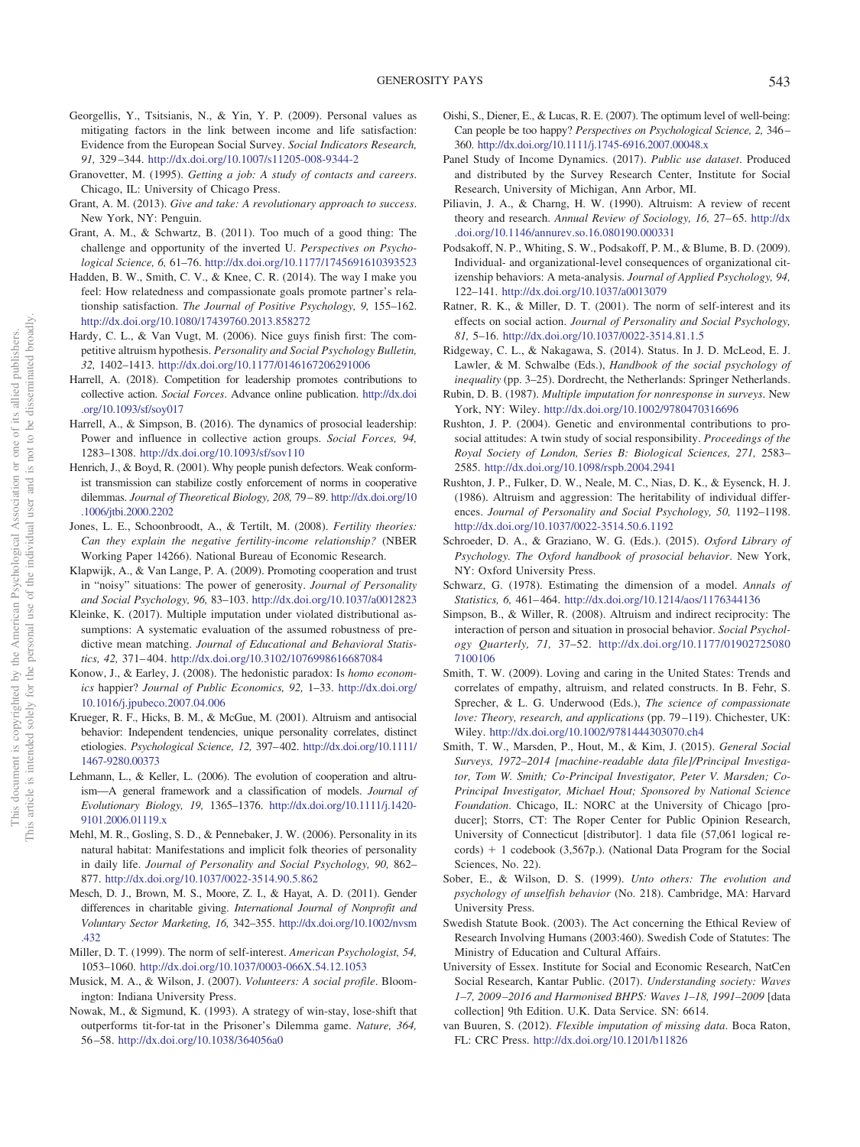- <span id="page-11-22"></span>Georgellis, Y., Tsitsianis, N., & Yin, Y. P. (2009). Personal values as mitigating factors in the link between income and life satisfaction: Evidence from the European Social Survey. *Social Indicators Research, 91,* 329 –344. <http://dx.doi.org/10.1007/s11205-008-9344-2>
- <span id="page-11-9"></span>Granovetter, M. (1995). *Getting a job: A study of contacts and careers*. Chicago, IL: University of Chicago Press.
- <span id="page-11-2"></span>Grant, A. M. (2013). *Give and take: A revolutionary approach to success*. New York, NY: Penguin.
- <span id="page-11-11"></span>Grant, A. M., & Schwartz, B. (2011). Too much of a good thing: The challenge and opportunity of the inverted U. *Perspectives on Psychological Science, 6,* 61–76. <http://dx.doi.org/10.1177/1745691610393523>
- <span id="page-11-29"></span>Hadden, B. W., Smith, C. V., & Knee, C. R. (2014). The way I make you feel: How relatedness and compassionate goals promote partner's relationship satisfaction. *The Journal of Positive Psychology, 9,* 155–162. <http://dx.doi.org/10.1080/17439760.2013.858272>
- <span id="page-11-5"></span>Hardy, C. L., & Van Vugt, M. (2006). Nice guys finish first: The competitive altruism hypothesis. *Personality and Social Psychology Bulletin, 32,* 1402–1413. <http://dx.doi.org/10.1177/0146167206291006>
- <span id="page-11-6"></span>Harrell, A. (2018). Competition for leadership promotes contributions to collective action. *Social Forces*. Advance online publication. [http://dx.doi](http://dx.doi.org/10.1093/sf/soy017) [.org/10.1093/sf/soy017](http://dx.doi.org/10.1093/sf/soy017)
- <span id="page-11-7"></span>Harrell, A., & Simpson, B. (2016). The dynamics of prosocial leadership: Power and influence in collective action groups. *Social Forces, 94,* 1283–1308. <http://dx.doi.org/10.1093/sf/sov110>
- <span id="page-11-33"></span>Henrich, J., & Boyd, R. (2001). Why people punish defectors. Weak conformist transmission can stabilize costly enforcement of norms in cooperative dilemmas. *Journal of Theoretical Biology, 208,* 79 – 89. [http://dx.doi.org/10](http://dx.doi.org/10.1006/jtbi.2000.2202) [.1006/jtbi.2000.2202](http://dx.doi.org/10.1006/jtbi.2000.2202)
- <span id="page-11-13"></span>Jones, L. E., Schoonbroodt, A., & Tertilt, M. (2008). *Fertility theories: Can they explain the negative fertility-income relationship?* (NBER Working Paper 14266). National Bureau of Economic Research.
- <span id="page-11-3"></span>Klapwijk, A., & Van Lange, P. A. (2009). Promoting cooperation and trust in "noisy" situations: The power of generosity. *Journal of Personality and Social Psychology, 96,* 83–103. <http://dx.doi.org/10.1037/a0012823>
- Kleinke, K. (2017). Multiple imputation under violated distributional assumptions: A systematic evaluation of the assumed robustness of predictive mean matching. *Journal of Educational and Behavioral Statistics, 42,* 371– 404. <http://dx.doi.org/10.3102/1076998616687084>
- <span id="page-11-16"></span>Konow, J., & Earley, J. (2008). The hedonistic paradox: Is *homo economics* happier? *Journal of Public Economics, 92,* 1–33. [http://dx.doi.org/](http://dx.doi.org/10.1016/j.jpubeco.2007.04.006) [10.1016/j.jpubeco.2007.04.006](http://dx.doi.org/10.1016/j.jpubeco.2007.04.006)
- <span id="page-11-30"></span>Krueger, R. F., Hicks, B. M., & McGue, M. (2001). Altruism and antisocial behavior: Independent tendencies, unique personality correlates, distinct etiologies. *Psychological Science, 12,* 397– 402. [http://dx.doi.org/10.1111/](http://dx.doi.org/10.1111/1467-9280.00373) [1467-9280.00373](http://dx.doi.org/10.1111/1467-9280.00373)
- <span id="page-11-1"></span>Lehmann, L., & Keller, L. (2006). The evolution of cooperation and altruism—A general framework and a classification of models. *Journal of Evolutionary Biology, 19,* 1365–1376. [http://dx.doi.org/10.1111/j.1420-](http://dx.doi.org/10.1111/j.1420-9101.2006.01119.x) [9101.2006.01119.x](http://dx.doi.org/10.1111/j.1420-9101.2006.01119.x)
- <span id="page-11-17"></span>Mehl, M. R., Gosling, S. D., & Pennebaker, J. W. (2006). Personality in its natural habitat: Manifestations and implicit folk theories of personality in daily life. *Journal of Personality and Social Psychology, 90,* 862– 877. <http://dx.doi.org/10.1037/0022-3514.90.5.862>
- <span id="page-11-20"></span>Mesch, D. J., Brown, M. S., Moore, Z. I., & Hayat, A. D. (2011). Gender differences in charitable giving. *International Journal of Nonprofit and Voluntary Sector Marketing, 16,* 342–355. [http://dx.doi.org/10.1002/nvsm](http://dx.doi.org/10.1002/nvsm.432) [.432](http://dx.doi.org/10.1002/nvsm.432)
- <span id="page-11-4"></span>Miller, D. T. (1999). The norm of self-interest. *American Psychologist, 54,* 1053–1060. <http://dx.doi.org/10.1037/0003-066X.54.12.1053>
- <span id="page-11-8"></span>Musick, M. A., & Wilson, J. (2007). *Volunteers: A social profile*. Bloomington: Indiana University Press.
- <span id="page-11-35"></span>Nowak, M., & Sigmund, K. (1993). A strategy of win-stay, lose-shift that outperforms tit-for-tat in the Prisoner's Dilemma game. *Nature, 364,* 56 –58. <http://dx.doi.org/10.1038/364056a0>
- <span id="page-11-12"></span>Oishi, S., Diener, E., & Lucas, R. E. (2007). The optimum level of well-being: Can people be too happy? *Perspectives on Psychological Science, 2,* 346 – 360. <http://dx.doi.org/10.1111/j.1745-6916.2007.00048.x>
- <span id="page-11-28"></span>Panel Study of Income Dynamics. (2017). *Public use dataset*. Produced and distributed by the Survey Research Center, Institute for Social Research, University of Michigan, Ann Arbor, MI.
- <span id="page-11-18"></span>Piliavin, J. A., & Charng, H. W. (1990). Altruism: A review of recent theory and research. Annual Review of Sociology, 16, 27-65. [http://dx](http://dx.doi.org/10.1146/annurev.so.16.080190.000331) [.doi.org/10.1146/annurev.so.16.080190.000331](http://dx.doi.org/10.1146/annurev.so.16.080190.000331)
- <span id="page-11-10"></span>Podsakoff, N. P., Whiting, S. W., Podsakoff, P. M., & Blume, B. D. (2009). Individual- and organizational-level consequences of organizational citizenship behaviors: A meta-analysis. *Journal of Applied Psychology, 94,* 122–141. <http://dx.doi.org/10.1037/a0013079>
- <span id="page-11-15"></span>Ratner, R. K., & Miller, D. T. (2001). The norm of self-interest and its effects on social action. *Journal of Personality and Social Psychology, 81,* 5–16. <http://dx.doi.org/10.1037/0022-3514.81.1.5>
- <span id="page-11-34"></span>Ridgeway, C. L., & Nakagawa, S. (2014). Status. In J. D. McLeod, E. J. Lawler, & M. Schwalbe (Eds.), *Handbook of the social psychology of inequality* (pp. 3–25). Dordrecht, the Netherlands: Springer Netherlands.
- <span id="page-11-25"></span>Rubin, D. B. (1987). *Multiple imputation for nonresponse in surveys*. New York, NY: Wiley. <http://dx.doi.org/10.1002/9780470316696>
- <span id="page-11-31"></span>Rushton, J. P. (2004). Genetic and environmental contributions to prosocial attitudes: A twin study of social responsibility. *Proceedings of the Royal Society of London, Series B: Biological Sciences, 271,* 2583– 2585. <http://dx.doi.org/10.1098/rspb.2004.2941>
- <span id="page-11-32"></span>Rushton, J. P., Fulker, D. W., Neale, M. C., Nias, D. K., & Eysenck, H. J. (1986). Altruism and aggression: The heritability of individual differences. *Journal of Personality and Social Psychology, 50,* 1192–1198. <http://dx.doi.org/10.1037/0022-3514.50.6.1192>
- <span id="page-11-0"></span>Schroeder, D. A., & Graziano, W. G. (Eds.). (2015). *Oxford Library of Psychology. The Oxford handbook of prosocial behavior*. New York, NY: Oxford University Press.
- <span id="page-11-26"></span>Schwarz, G. (1978). Estimating the dimension of a model. *Annals of Statistics, 6,* 461– 464. <http://dx.doi.org/10.1214/aos/1176344136>
- <span id="page-11-19"></span>Simpson, B., & Willer, R. (2008). Altruism and indirect reciprocity: The interaction of person and situation in prosocial behavior. *Social Psychology Quarterly, 71,* 37–52. [http://dx.doi.org/10.1177/01902725080](http://dx.doi.org/10.1177/019027250807100106) [7100106](http://dx.doi.org/10.1177/019027250807100106)
- <span id="page-11-21"></span>Smith, T. W. (2009). Loving and caring in the United States: Trends and correlates of empathy, altruism, and related constructs. In B. Fehr, S. Sprecher, & L. G. Underwood (Eds.), *The science of compassionate love: Theory, research, and applications* (pp. 79 –119). Chichester, UK: Wiley. <http://dx.doi.org/10.1002/9781444303070.ch4>
- <span id="page-11-24"></span>Smith, T. W., Marsden, P., Hout, M., & Kim, J. (2015). *General Social Surveys, 1972–2014 [machine-readable data file]/Principal Investigator, Tom W. Smith; Co-Principal Investigator, Peter V. Marsden; Co-Principal Investigator, Michael Hout; Sponsored by National Science Foundation*. Chicago, IL: NORC at the University of Chicago [producer]; Storrs, CT: The Roper Center for Public Opinion Research, University of Connecticut [distributor]. 1 data file (57,061 logical records) + 1 codebook (3,567p.). (National Data Program for the Social Sciences, No. 22).
- <span id="page-11-14"></span>Sober, E., & Wilson, D. S. (1999). *Unto others: The evolution and psychology of unselfish behavior* (No. 218). Cambridge, MA: Harvard University Press.
- <span id="page-11-23"></span>Swedish Statute Book. (2003). The Act concerning the Ethical Review of Research Involving Humans (2003:460). Swedish Code of Statutes: The Ministry of Education and Cultural Affairs.
- <span id="page-11-27"></span>University of Essex. Institute for Social and Economic Research, NatCen Social Research, Kantar Public. (2017). *Understanding society: Waves 1–7, 2009 –2016 and Harmonised BHPS: Waves 1–18, 1991–2009* [data collection] 9th Edition. U.K. Data Service. SN: 6614.
- van Buuren, S. (2012). *Flexible imputation of missing data*. Boca Raton, FL: CRC Press. <http://dx.doi.org/10.1201/b11826>